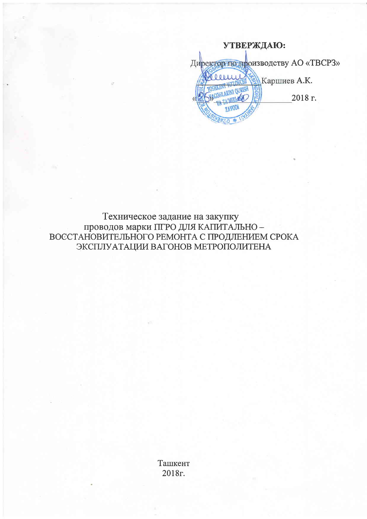УТВЕРЖДАЮ: Директор по производству AO «ТВСРЗ» Каршиев А.К.  $0001111$ **OURISH** 2018 г.

Техническое задание на закупку проводов марки ПГРО ДЛЯ КАПИТАЛЬНО -ВОССТАНОВИТЕЛЬНОГО РЕМОНТА С ПРОДЛЕНИЕМ СРОКА ЭКСПЛУАТАЦИИ ВАГОНОВ МЕТРОПОЛИТЕНА

> Ташкент 2018г.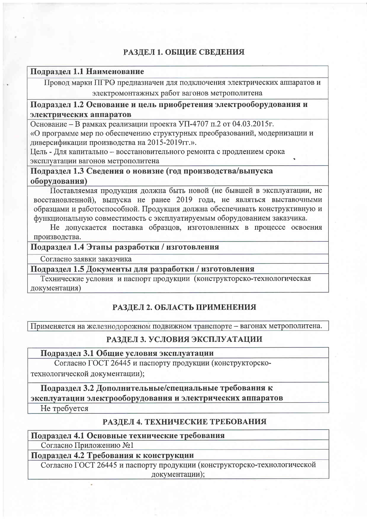### РАЗДЕЛ 1. ОБЩИЕ СВЕДЕНИЯ

#### Подраздел 1.1 Наименование

Провод марки ПГРО предназначен для подключения электрических аппаратов и электромонтажных работ вагонов метрополитена

### Подраздел 1.2 Основание и цель приобретения электрооборудования и электрических аппаратов

Основание - В рамках реализации проекта УП-4707 п.2 от 04.03.2015г. «О программе мер по обеспечению структурных преобразований, модернизации и

диверсификации производства на 2015-2019гг.».

Цель - Для капитально - восстановительного ремонта с продлением срока эксплуатации вагонов метрополитена

Подраздел 1.3 Сведения о новизне (год производства/выпуска оборудования)

Поставляемая продукция должна быть новой (не бывшей в эксплуатации, не восстановленной), выпуска не ранее 2019 года, не являться выставочными образцами и работоспособной. Продукция должна обеспечивать конструктивную и функциональную совместимость с эксплуатируемым оборудованием заказчика.

Не допускается поставка образцов, изготовленных в процессе освоения производства.

#### Подраздел 1.4 Этапы разработки / изготовления

Согласно заявки заказчика

### Подраздел 1.5 Документы для разработки / изготовления

Технические условия и паспорт продукции (конструкторско-технологическая документация)

### РАЗДЕЛ 2. ОБЛАСТЬ ПРИМЕНЕНИЯ

Применяется на железнодорожном подвижном транспорте - вагонах метрополитена.

#### РАЗДЕЛ 3. УСЛОВИЯ ЭКСПЛУАТАЦИИ

#### Подраздел 3.1 Общие условия эксплуатации

Согласно ГОСТ 26445 и паспорту продукции (конструкторско-

технологической документации);

Подраздел 3.2 Дополнительные/специальные требования к

эксплуатации электрооборудования и электрических аппаратов

Не требуется

# РАЗДЕЛ 4. ТЕХНИЧЕСКИЕ ТРЕБОВАНИЯ

## Подраздел 4.1 Основные технические требования

Согласно Приложению №1

# Подраздел 4.2 Требования к конструкции

Согласно ГОСТ 26445 и паспорту продукции (конструкторско-технологической документации);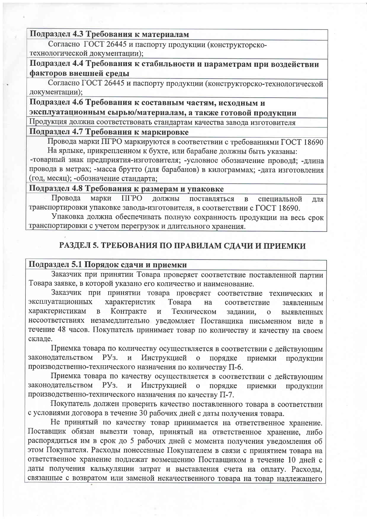Подраздел 4.3 Требования к материалам

Согласно ГОСТ 26445 и паспорту продукции (конструкторскотехнологической документации);

Подраздел 4.4 Требования к стабильности и параметрам при воздействии факторов внешней среды

Согласно ГОСТ 26445 и паспорту продукции (конструкторско-технологической документации);

## Подраздел 4.6 Требования к составным частям, исходным и эксплуатационным сырью/материалам, а также готовой продукции

Продукция должна соответствовать стандартам качества завода изготовителя

### Подраздел 4.7 Требования к маркировке

Провода марки ПГРО маркируются в соответствии с требованиями ГОСТ 18690 На ярлыке, прикрепленном к бухте, или барабане должны быть указаны:

-товарный знак предприятия-изготовителя; -условное обозначение провода; -длина провода в метрах; -масса брутто (для барабанов) в килограммах; -дата изготовления (год, месяц); -обозначение стандарта;

# Подраздел 4.8 Требования к размерам и упаковке

Провода марки ПГРО должны поставляться  $\overline{\mathbf{B}}$ специальной для транспортировки упаковке завода-изготовителя, в соответствии с ГОСТ 18690.

Упаковка должна обеспечивать полную сохранность продукции на весь срок транспортировки с учетом перегрузок и длительного хранения.

## РАЗДЕЛ 5. ТРЕБОВАНИЯ ПО ПРАВИЛАМ СДАЧИ И ПРИЕМКИ

#### Подраздел 5.1 Порядок сдачи и приемки

Заказчик при принятии Товара проверяет соответствие поставленной партии Товара заявке, в которой указано его количество и наименование.

Заказчик при принятии товара проверяет соответствие технических и эксплуатационных характеристик Товара на соответствие заявленным характеристикам Контракте Техническом  $\overline{B}$  $\mathbf H$ задании,  $\mathbf{O}$ выявленных несоответствиях незамедлительно уведомляет Поставщика письменном виде в течение 48 часов. Покупатель принимает товар по количеству и качеству на своем складе.

Приемка товара по количеству осуществляется в соответствии с действующим законодательством  $Py<sub>3</sub>$ . и Инструкцией порядке  $\overline{0}$ приемки продукции производственно-технического назначения по количеству П-6.

Приемка товара по качеству осуществляется в соответствии с действующим законодательством PY<sub>3</sub>. и Инструкцией продукции порядке приемки  $\mathbf{o}$ производственно-технического назначения по качеству П-7.

Покупатель должен проверить качество поставленного товара в соответствии с условиями договора в течение 30 рабочих дней с даты получения товара.

Не принятый по качеству товар принимается на ответственное хранение. Поставщик обязан вывезти товар, принятый на ответственное хранение, либо распорядиться им в срок до 5 рабочих дней с момента получения уведомления об этом Покупателя. Расходы понесенные Покупателем в связи с принятием товара на ответственное хранение подлежат возмещению Поставщиком в течение 10 дней с даты получения калькуляции затрат и выставления счета на оплату. Расходы, связанные с возвратом или заменой некачественного товара на товар надлежащего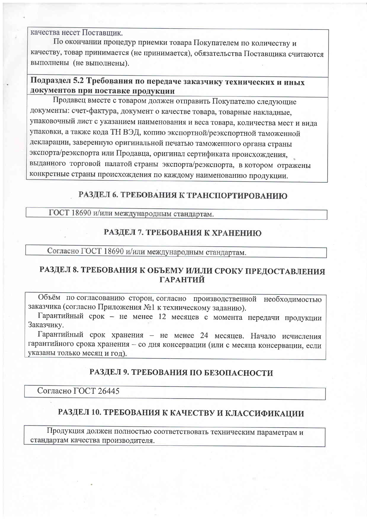качества несет Поставшик.

По окончании процедур приемки товара Покупателем по количеству и качеству, товар принимается (не принимается), обязательства Поставщика считаются выполнены (не выполнены).

## Подраздел 5.2 Требования по передаче заказчику технических и иных документов при поставке продукции

Продавец вместе с товаром должен отправить Покупателю следующие документы: счет-фактура, документ о качестве товара, товарные накладные, упаковочный лист с указанием наименования и веса товара, количества мест и вида упаковки, а также кода ТН ВЭД, копию экспортной/реэкспортной таможенной декларации, заверенную оригинальной печатью таможенного органа страны экспорта/реэкспорта или Продавца, оригинал сертификата происхождения, выданного торговой палатой страны экспорта/реэкспорта, в котором отражены конкретные страны происхождения по каждому наименованию продукции.

## РАЗДЕЛ 6. ТРЕБОВАНИЯ К ТРАНСПОРТИРОВАНИЮ

ГОСТ 18690 и/или международным стандартам.

#### РАЗДЕЛ 7. ТРЕБОВАНИЯ К ХРАНЕНИЮ

Согласно ГОСТ 18690 и/или международным стандартам.

## РАЗДЕЛ 8. ТРЕБОВАНИЯ К ОБЪЕМУ И/ИЛИ СРОКУ ПРЕДОСТАВЛЕНИЯ **ГАРАНТИЙ**

Объём по согласованию сторон, согласно производственной необходимостью заказчика (согласно Приложения №1 к техническому заданию).

Гарантийный срок - не менее 12 месяцев с момента передачи продукции Заказчику.

Гарантийный срок хранения - не менее 24 месяцев. Начало исчисления гарантийного срока хранения - со дня консервации (или с месяца консервации, если указаны только месяц и год).

#### РАЗДЕЛ 9. ТРЕБОВАНИЯ ПО БЕЗОПАСНОСТИ

Согласно ГОСТ 26445

## РАЗДЕЛ 10. ТРЕБОВАНИЯ К КАЧЕСТВУ И КЛАССИФИКАЦИИ

Продукция должен полностью соответствовать техническим параметрам и стандартам качества производителя.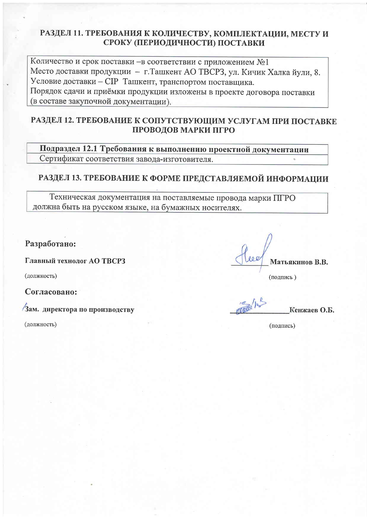#### РАЗДЕЛ 11. ТРЕБОВАНИЯ К КОЛИЧЕСТВУ, КОМПЛЕКТАЦИИ, МЕСТУ И СРОКУ (ПЕРИОДИЧНОСТИ) ПОСТАВКИ

Количество и срок поставки - в соответствии с приложением №1 Место доставки продукции - г. Ташкент АО ТВСРЗ, ул. Кичик Халка йули, 8. Условие доставки - CIP Ташкент, транспортом поставщика. Порядок сдачи и приёмки продукции изложены в проекте договора поставки (в составе закупочной документации).

### РАЗДЕЛ 12. ТРЕБОВАНИЕ К СОПУТСТВУЮЩИМ УСЛУГАМ ПРИ ПОСТАВКЕ ПРОВОДОВ МАРКИ ПГРО

Подраздел 12.1 Требования к выполнению проектной документации Сертификат соответствия завода-изготовителя.

## РАЗДЕЛ 13. ТРЕБОВАНИЕ К ФОРМЕ ПРЕДСТАВЛЯЕМОЙ ИНФОРМАЦИИ

Техническая документация на поставляемые провода марки ПГРО должна быть на русском языке, на бумажных носителях.

Разработано:

Главный технолог АО ТВСРЗ

(должность)

Согласовано:

Зам. директора по производству

(должность)

Матьякинов В.В.

(подпись)

Кенжаев О.Б.

(подпись)